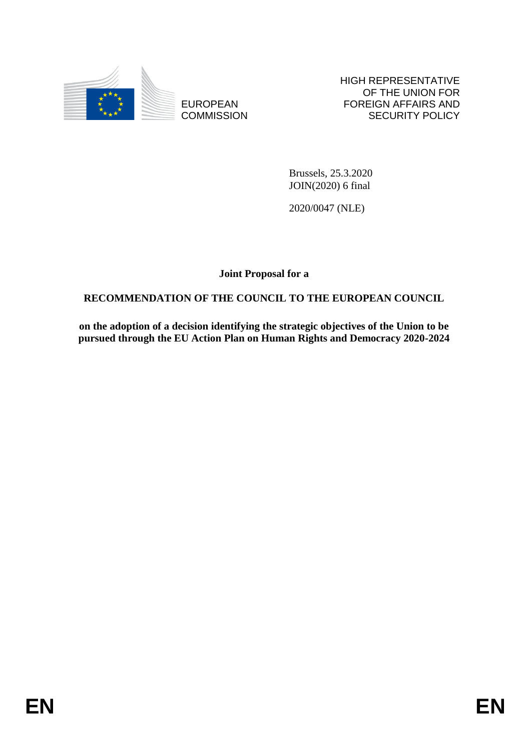

EUROPEAN **COMMISSION**  HIGH REPRESENTATIVE OF THE UNION FOR FOREIGN AFFAIRS AND SECURITY POLICY

Brussels, 25.3.2020 JOIN(2020) 6 final

2020/0047 (NLE)

**Joint Proposal for a** 

# **RECOMMENDATION OF THE COUNCIL TO THE EUROPEAN COUNCIL**

**on the adoption of a decision identifying the strategic objectives of the Union to be pursued through the EU Action Plan on Human Rights and Democracy 2020-2024**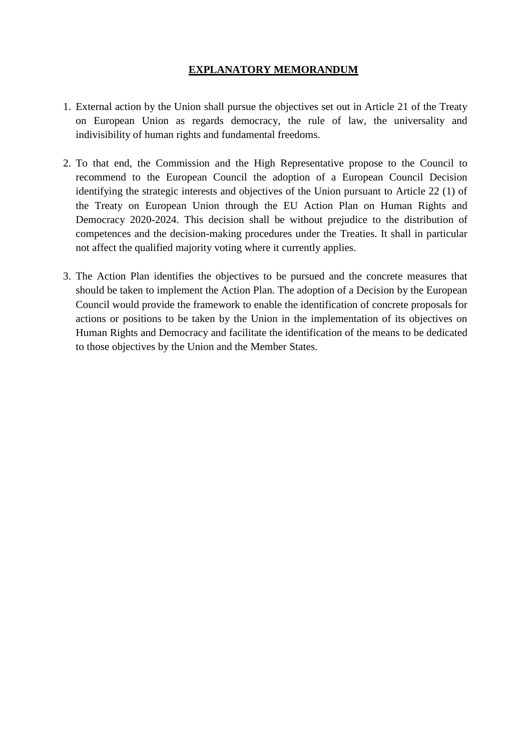### **EXPLANATORY MEMORANDUM**

- 1. External action by the Union shall pursue the objectives set out in Article 21 of the Treaty on European Union as regards democracy, the rule of law, the universality and indivisibility of human rights and fundamental freedoms.
- 2. To that end, the Commission and the High Representative propose to the Council to recommend to the European Council the adoption of a European Council Decision identifying the strategic interests and objectives of the Union pursuant to Article 22 (1) of the Treaty on European Union through the EU Action Plan on Human Rights and Democracy 2020-2024. This decision shall be without prejudice to the distribution of competences and the decision-making procedures under the Treaties. It shall in particular not affect the qualified majority voting where it currently applies.
- 3. The Action Plan identifies the objectives to be pursued and the concrete measures that should be taken to implement the Action Plan. The adoption of a Decision by the European Council would provide the framework to enable the identification of concrete proposals for actions or positions to be taken by the Union in the implementation of its objectives on Human Rights and Democracy and facilitate the identification of the means to be dedicated to those objectives by the Union and the Member States.